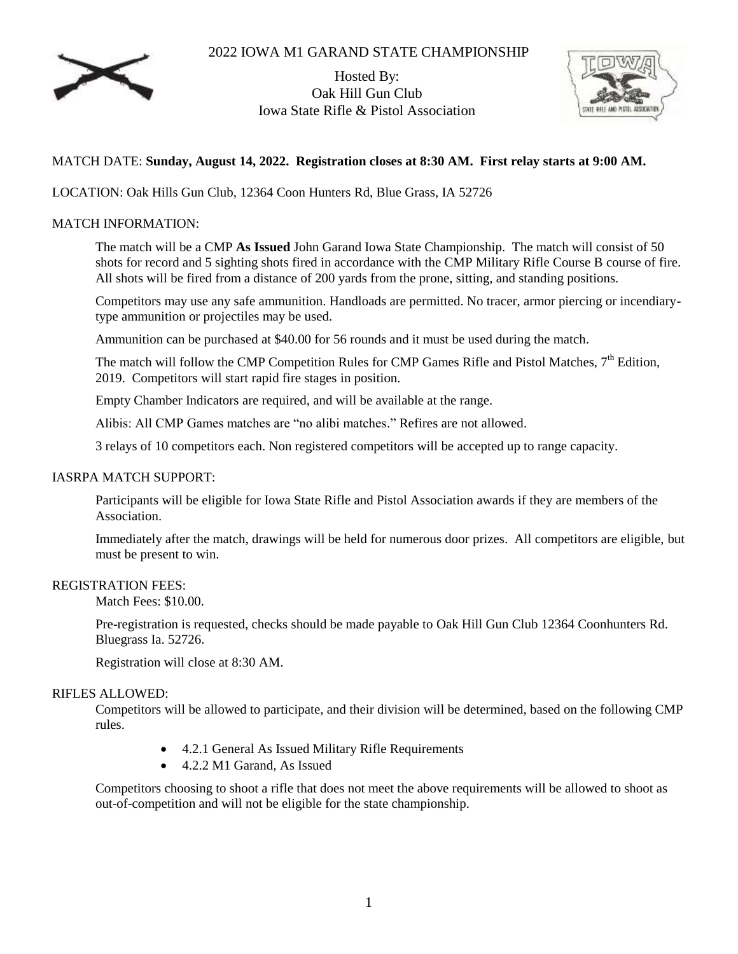# 2022 IOWA M1 GARAND STATE CHAMPIONSHIP



Hosted By: Oak Hill Gun Club Iowa State Rifle & Pistol Association



# MATCH DATE: **Sunday, August 14, 2022. Registration closes at 8:30 AM. First relay starts at 9:00 AM.**

LOCATION: Oak Hills Gun Club, 12364 Coon Hunters Rd, Blue Grass, IA 52726

## MATCH INFORMATION:

The match will be a CMP **As Issued** John Garand Iowa State Championship. The match will consist of 50 shots for record and 5 sighting shots fired in accordance with the CMP Military Rifle Course B course of fire. All shots will be fired from a distance of 200 yards from the prone, sitting, and standing positions.

Competitors may use any safe ammunition. Handloads are permitted. No tracer, armor piercing or incendiarytype ammunition or projectiles may be used.

Ammunition can be purchased at \$40.00 for 56 rounds and it must be used during the match.

The match will follow the CMP Competition Rules for CMP Games Rifle and Pistol Matches, 7<sup>th</sup> Edition, 2019. Competitors will start rapid fire stages in position.

Empty Chamber Indicators are required, and will be available at the range.

Alibis: All CMP Games matches are "no alibi matches." Refires are not allowed.

3 relays of 10 competitors each. Non registered competitors will be accepted up to range capacity.

#### IASRPA MATCH SUPPORT:

Participants will be eligible for Iowa State Rifle and Pistol Association awards if they are members of the Association.

Immediately after the match, drawings will be held for numerous door prizes. All competitors are eligible, but must be present to win.

#### REGISTRATION FEES:

Match Fees: \$10.00.

Pre-registration is requested, checks should be made payable to Oak Hill Gun Club 12364 Coonhunters Rd. Bluegrass Ia. 52726.

Registration will close at 8:30 AM.

#### RIFLES ALLOWED:

Competitors will be allowed to participate, and their division will be determined, based on the following CMP rules.

- 4.2.1 General As Issued Military Rifle Requirements
- 4.2.2 M1 Garand, As Issued

Competitors choosing to shoot a rifle that does not meet the above requirements will be allowed to shoot as out-of-competition and will not be eligible for the state championship.